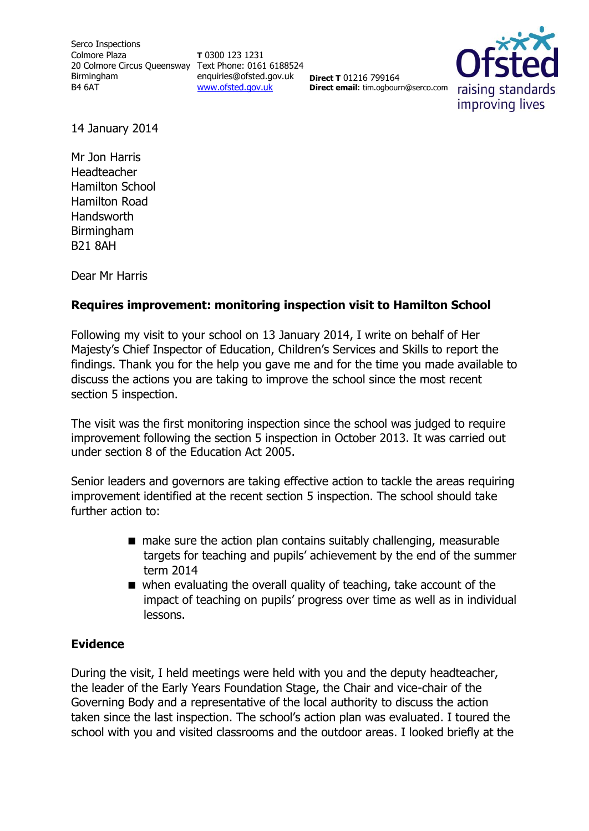Serco Inspections Colmore Plaza 20 Colmore Circus Queensway Text Phone: 0161 6188524 Birmingham B4 6AT

**T** 0300 123 1231 enquiries@ofsted.gov.uk [www.ofsted.gov.uk](http://www.ofsted.gov.uk/)

**Direct T** 01216 799164 **Direct email**: tim.ogbourn@serco.com



14 January 2014

Mr Jon Harris **Headteacher** Hamilton School Hamilton Road Handsworth Birmingham B21 8AH

Dear Mr Harris

### **Requires improvement: monitoring inspection visit to Hamilton School**

Following my visit to your school on 13 January 2014, I write on behalf of Her Majesty's Chief Inspector of Education, Children's Services and Skills to report the findings. Thank you for the help you gave me and for the time you made available to discuss the actions you are taking to improve the school since the most recent section 5 inspection.

The visit was the first monitoring inspection since the school was judged to require improvement following the section 5 inspection in October 2013. It was carried out under section 8 of the Education Act 2005.

Senior leaders and governors are taking effective action to tackle the areas requiring improvement identified at the recent section 5 inspection. The school should take further action to:

- make sure the action plan contains suitably challenging, measurable targets for teaching and pupils' achievement by the end of the summer term 2014
- when evaluating the overall quality of teaching, take account of the impact of teaching on pupils' progress over time as well as in individual lessons.

### **Evidence**

During the visit, I held meetings were held with you and the deputy headteacher, the leader of the Early Years Foundation Stage, the Chair and vice-chair of the Governing Body and a representative of the local authority to discuss the action taken since the last inspection. The school's action plan was evaluated. I toured the school with you and visited classrooms and the outdoor areas. I looked briefly at the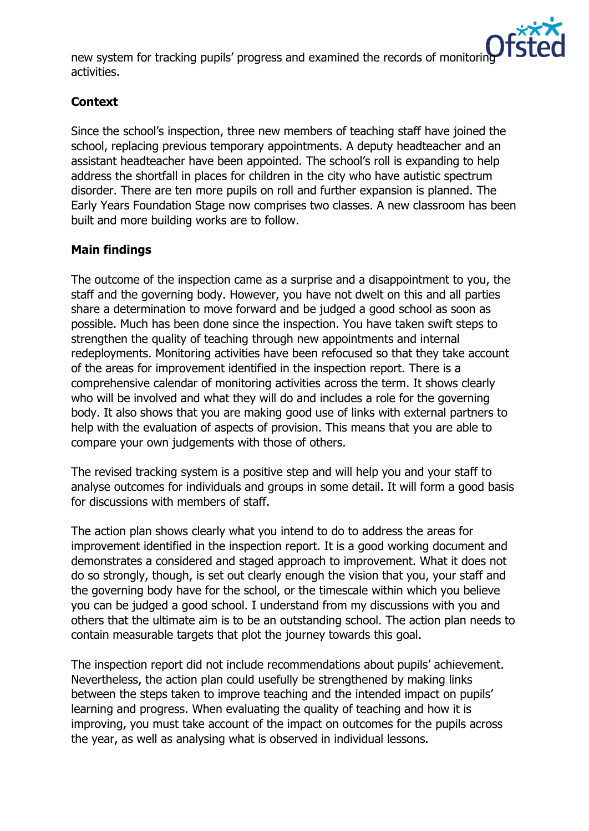

new system for tracking pupils' progress and examined the records of monitoring activities.

# **Context**

Since the school's inspection, three new members of teaching staff have joined the school, replacing previous temporary appointments. A deputy headteacher and an assistant headteacher have been appointed. The school's roll is expanding to help address the shortfall in places for children in the city who have autistic spectrum disorder. There are ten more pupils on roll and further expansion is planned. The Early Years Foundation Stage now comprises two classes. A new classroom has been built and more building works are to follow.

# **Main findings**

The outcome of the inspection came as a surprise and a disappointment to you, the staff and the governing body. However, you have not dwelt on this and all parties share a determination to move forward and be judged a good school as soon as possible. Much has been done since the inspection. You have taken swift steps to strengthen the quality of teaching through new appointments and internal redeployments. Monitoring activities have been refocused so that they take account of the areas for improvement identified in the inspection report. There is a comprehensive calendar of monitoring activities across the term. It shows clearly who will be involved and what they will do and includes a role for the governing body. It also shows that you are making good use of links with external partners to help with the evaluation of aspects of provision. This means that you are able to compare your own judgements with those of others.

The revised tracking system is a positive step and will help you and your staff to analyse outcomes for individuals and groups in some detail. It will form a good basis for discussions with members of staff.

The action plan shows clearly what you intend to do to address the areas for improvement identified in the inspection report. It is a good working document and demonstrates a considered and staged approach to improvement. What it does not do so strongly, though, is set out clearly enough the vision that you, your staff and the governing body have for the school, or the timescale within which you believe you can be judged a good school. I understand from my discussions with you and others that the ultimate aim is to be an outstanding school. The action plan needs to contain measurable targets that plot the journey towards this goal.

The inspection report did not include recommendations about pupils' achievement. Nevertheless, the action plan could usefully be strengthened by making links between the steps taken to improve teaching and the intended impact on pupils' learning and progress. When evaluating the quality of teaching and how it is improving, you must take account of the impact on outcomes for the pupils across the year, as well as analysing what is observed in individual lessons.